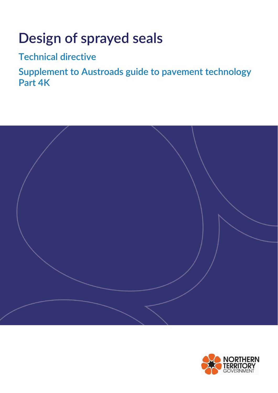# **Design of sprayed seals**

**Technical directive**

**Supplement to Austroads guide to pavement technology Part 4K**



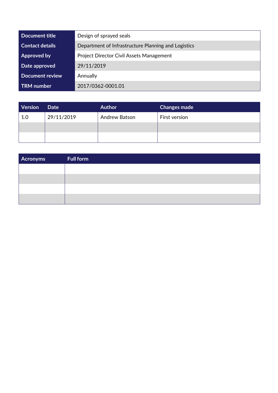| Document title         | Design of sprayed seals                             |  |
|------------------------|-----------------------------------------------------|--|
| <b>Contact details</b> | Department of Infrastructure Planning and Logistics |  |
| Approved by            | <b>Project Director Civil Assets Management</b>     |  |
| Date approved          | 29/11/2019                                          |  |
| <b>Document review</b> | Annually                                            |  |
| <b>TRM</b> number      | 2017/0362-0001.01                                   |  |

| Version | Date       | <b>Author</b> | <b>Changes made</b> |
|---------|------------|---------------|---------------------|
| 1.0     | 29/11/2019 | Andrew Batson | First version       |
|         |            |               |                     |
|         |            |               |                     |

| Acronyms | <b>Full form</b> |
|----------|------------------|
|          |                  |
|          |                  |
|          |                  |
|          |                  |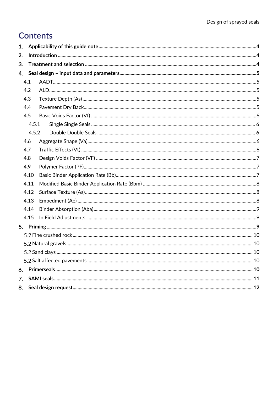# **Contents**

| 1. |       |  |  |  |
|----|-------|--|--|--|
| 2. |       |  |  |  |
| 3. |       |  |  |  |
| 4. |       |  |  |  |
|    | 4.1   |  |  |  |
|    | 4.2   |  |  |  |
|    | 4.3   |  |  |  |
|    | 4.4   |  |  |  |
|    | 4.5   |  |  |  |
|    | 4.5.1 |  |  |  |
|    | 4.5.2 |  |  |  |
|    | 4.6   |  |  |  |
|    | 4.7   |  |  |  |
|    | 4.8   |  |  |  |
|    | 4.9   |  |  |  |
|    | 4.10  |  |  |  |
|    | 4.11  |  |  |  |
|    | 4.12  |  |  |  |
|    | 4.13  |  |  |  |
|    | 4.14  |  |  |  |
|    | 4.15  |  |  |  |
| 5. |       |  |  |  |
|    |       |  |  |  |
|    |       |  |  |  |
|    |       |  |  |  |
|    |       |  |  |  |
| 6. |       |  |  |  |
| 7. |       |  |  |  |
| 8. |       |  |  |  |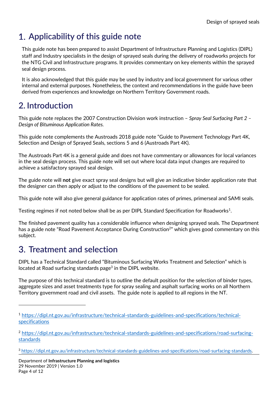# <span id="page-3-0"></span>**Applicability of this guide note**

This guide note has been prepared to assist Department of Infrastructure Planning and Logistics (DIPL) staff and Industry specialists in the design of sprayed seals during the delivery of roadworks projects for the NTG Civil and Infrastructure programs. It provides commentary on key elements within the sprayed seal design process.

It is also acknowledged that this guide may be used by industry and local government for various other internal and external purposes. Nonetheless, the context and recommendations in the guide have been derived from experiences and knowledge on Northern Territory Government roads.

# <span id="page-3-1"></span>**2. Introduction**

This guide note replaces the 2007 Construction Division work instruction – *Spray Seal Surfacing Part 2 – Design of Bituminous Application Rates.*

This guide note complements the Austroads 2018 guide note "Guide to Pavement Technology Part 4K, Selection and Design of Sprayed Seals, sections 5 and 6 (Austroads Part 4K).

The Austroads Part 4K is a general guide and does not have commentary or allowances for local variances in the seal design process. This guide note will set out where local data input changes are required to achieve a satisfactory sprayed seal design.

The guide note will **not** give exact spray seal designs but will give an indicative binder application rate that the designer can then apply or adjust to the conditions of the pavement to be sealed.

This guide note will also give general guidance for application rates of primes, primerseal and SAMI seals.

Testing regimes if not noted below shall be as per DIPL Standard Specification for Roadworks<sup>1</sup>.

The finished pavement quality has a considerable influence when designing sprayed seals. The Department has a guide note "Road Pavement Acceptance During Construction<sup>2</sup>" which gives good commentary on this subject.

# <span id="page-3-2"></span>**Treatment and selection**

1

DIPL has a Technical Standard called "Bituminous Surfacing Works Treatment and Selection" which is located at Road surfacing standards page<sup>3</sup> in the DIPL website.

The purpose of this technical standard is to outline the default position for the selection of binder types, aggregate sizes and asset treatments type for spray sealing and asphalt surfacing works on all Northern Territory government road and civil assets. The guide note is applied to all regions in the NT.

<sup>1</sup> [https://dipl.nt.gov.au/infrastructure/technical-standards-guidelines-and-specifications/technical](https://dipl.nt.gov.au/infrastructure/technical-standards-guidelines-and-specifications/technical-specifications)[specifications](https://dipl.nt.gov.au/infrastructure/technical-standards-guidelines-and-specifications/technical-specifications)

<sup>&</sup>lt;sup>2</sup> [https://dipl.nt.gov.au/infrastructure/technical-standards-guidelines-and-specifications/road-surfacing](https://dipl.nt.gov.au/infrastructure/technical-standards-guidelines-and-specifications/road-surfacing-standards)[standards](https://dipl.nt.gov.au/infrastructure/technical-standards-guidelines-and-specifications/road-surfacing-standards)

<sup>3</sup> [https://dipl.nt.gov.au/infrastructure/technical-standards-guidelines-and-specifications/road-surfacing-standards.](https://dipl.nt.gov.au/infrastructure/technical-standards-guidelines-and-specifications/road-surfacing-standards)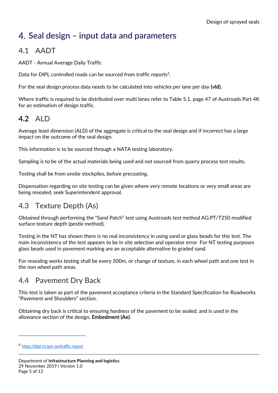# <span id="page-4-0"></span>**Seal design – input data and parameters**

#### <span id="page-4-1"></span>**4.1 AADT**

AADT - Annual Average Daily Traffic

Data for DIPL controlled roads can be sourced from traffic reports<sup>4</sup>.

For the seal design process data needs to be calculated into vehicles per lane per day **(vld).**

Where traffic is required to be distributed over multi lanes refer to Table 5.1, page 47 of Austroads Part 4K for an estimation of design traffic.

#### <span id="page-4-2"></span>**4.2 ALD**

Average least dimension (ALD) of the aggregate is critical to the seal design and if incorrect has a large impact on the outcome of the seal design.

This information is to be sourced through a NATA testing laboratory.

Sampling is to be of the actual materials being used and not sourced from quarry process test results.

Testing shall be from onsite stockpiles, before precoating.

Dispensation regarding on site testing can be given where very remote locations or very small areas are being resealed, seek Superintendent approval.

#### <span id="page-4-3"></span>**4.3 Texture Depth (As)**

Obtained through performing the "Sand Patch" test using Austroads test method AG:PT/T250 modified surface texture depth (pestle method).

Testing in the NT has shown there is no real inconsistency in using sand or glass beads for this test. The main inconsistency of the test appears to be in site selection and operator error. For NT testing purposes glass beads used in pavement marking are an acceptable alternative to graded sand.

For resealing works testing shall be every 500m, or change of texture, in each wheel path and one test in the non wheel path areas.

#### <span id="page-4-4"></span>**4.4 Pavement Dry Back**

This test is taken as part of the pavement acceptance criteria in the Standard Specification for Roadworks "Pavement and Shoulders" section.

Obtaining dry back is critical to ensuring *hardness* of the pavement to be sealed, and is used in the allowance section of the design, **Embedment (Ae)**.

-

<sup>4</sup> <https://dipl.nt.gov.au/traffic-report>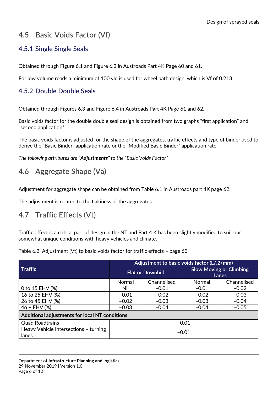## <span id="page-5-0"></span>**4.5 Basic Voids Factor (Vf)**

#### <span id="page-5-1"></span>**4.5.1 Single Single Seals**

Obtained through Figure 6.1 and Figure 6.2 in Austroads Part 4K Page 60 and 61.

For low volume roads a minimum of 100 vld is used for wheel path design, which is Vf of 0.213.

#### <span id="page-5-2"></span>**4.5.2 Double Double Seals**

Obtained through Figures 6.3 and Figure 6.4 in Austroads Part 4K Page 61 and 62.

Basic voids factor for the double double seal design is obtained from two graphs "first application" and "second application".

The basic voids factor is adjusted for the shape of the aggregates, traffic effects and type of binder used to derive the "Basic Binder" application rate or the "Modified Basic Binder" application rate.

*The following attributes are "Adjustments" to the "Basic Voids Factor"*

#### <span id="page-5-3"></span>**4.6 Aggregate Shape (Va)**

Adjustment for aggregate shape can be obtained from Table 6.1 in Austroads part 4K page 62.

The adjustment is related to the flakiness of the aggregates.

#### <span id="page-5-4"></span>**4.7 Traffic Effects (Vt)**

Traffic effect is a critical part of design in the NT and Part 4 K has been slightly modified to suit our somewhat unique conditions with heavy vehicles and climate.

Table 6.2: Adjustment (Vt) to basic voids factor for traffic effects – page 63

|                                                | Adjustment to basic voids factor (L/,2/mm) |             |                                         |             |
|------------------------------------------------|--------------------------------------------|-------------|-----------------------------------------|-------------|
| <b>Traffic</b>                                 | <b>Flat or Downhill</b>                    |             | <b>Slow Moving or Climbing</b><br>Lanes |             |
|                                                | Normal                                     | Channelised | Normal                                  | Channelised |
| 0 to 15 EHV (%)                                | Nil                                        | $-0.01$     | $-0.01$                                 | $-0.02$     |
| 16 to 25 EHV (%)                               | $-0.01$                                    | $-0.02$     | $-0.02$                                 | $-0.03$     |
| 26 to 45 EHV (%)                               | $-0.02$                                    | $-0.03$     | $-0.03$                                 | $-0.04$     |
| $46 + EHV(%)$                                  | $-0.03$                                    | $-0.04$     | $-0.04$                                 | $-0.05$     |
| Additional adjustments for local NT conditions |                                            |             |                                         |             |
| <b>Quad Roadtrains</b>                         | $-0.01$                                    |             |                                         |             |
| Heavy Vehicle Intersections - turning<br>lanes | $-0.01$                                    |             |                                         |             |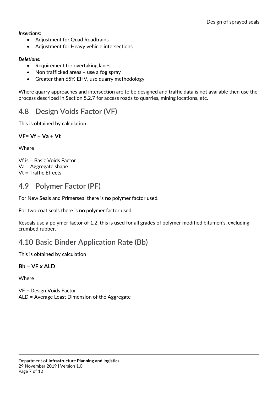#### *Insertions:*

- Adjustment for Quad Roadtrains
- Adjustment for Heavy vehicle intersections

#### *Deletions:*

- Requirement for overtaking lanes
- Non trafficked areas use a fog spray
- Greater than 65% EHV, use quarry methodology

Where quarry approaches and intersection are to be designed and traffic data is not available then use the process described in Section 5.2.7 for access roads to quarries, mining locations, etc.

#### <span id="page-6-0"></span>**4.8 Design Voids Factor (VF)**

This is obtained by calculation

#### **VF= Vf + Va + Vt**

**Where** 

Vf is = Basic Voids Factor Va = Aggregate shape Vt = Traffic Effects

#### <span id="page-6-1"></span>**4.9 Polymer Factor (PF)**

For New Seals and Primerseal there is **no** polymer factor used.

For two coat seals there is **no** polymer factor used.

Reseals use a polymer factor of 1.2, this is used for all grades of polymer modified bitumen's, excluding crumbed rubber.

#### <span id="page-6-2"></span>**4.10 Basic Binder Application Rate (Bb)**

This is obtained by calculation

#### **Bb = VF x ALD**

Where

VF = Design Voids Factor ALD = Average Least Dimension of the Aggregate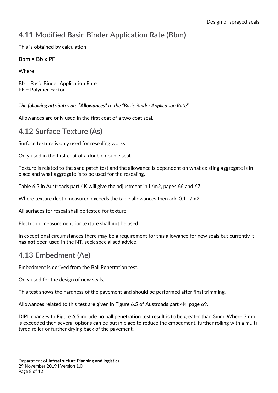## <span id="page-7-0"></span>**4.11 Modified Basic Binder Application Rate (Bbm)**

This is obtained by calculation

#### **Bbm = Bb x PF**

**Where** 

Bb = Basic Binder Application Rate PF = Polymer Factor

*The following attributes are "Allowances" to the "Basic Binder Application Rate"*

Allowances are only used in the first coat of a two coat seal.

#### <span id="page-7-1"></span>**4.12 Surface Texture (As)**

Surface texture is only used for resealing works.

Only used in the first coat of a double double seal.

Texture is related to the sand patch test and the allowance is dependent on what existing aggregate is in place and what aggregate is to be used for the resealing.

Table 6.3 in Austroads part 4K will give the adjustment in L/m2, pages 66 and 67.

Where texture depth measured exceeds the table allowances then add 0.1 L/m2.

All surfaces for reseal shall be tested for texture.

Electronic measurement for texture shall **not** be used.

In exceptional circumstances there may be a requirement for this allowance for new seals but currently it has **not** been used in the NT, seek specialised advice.

#### <span id="page-7-2"></span>**4.13 Embedment (Ae)**

Embedment is derived from the Ball Penetration test.

Only used for the design of new seals.

This test shows the hardness of the pavement and should be performed after final trimming.

Allowances related to this test are given in Figure 6.5 of Austroads part 4K, page 69.

DIPL changes to Figure 6.5 include **no** ball penetration test result is to be greater than 3mm. Where 3mm is exceeded then several options can be put in place to reduce the embedment, further rolling with a multi tyred roller or further drying back of the pavement.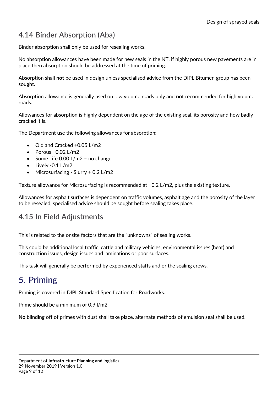## <span id="page-8-0"></span>**4.14 Binder Absorption (Aba)**

Binder absorption shall only be used for resealing works.

No absorption allowances have been made for new seals in the NT, if highly porous new pavements are in place then absorption should be addressed at the time of priming.

Absorption shall **not** be used in design unless specialised advice from the DIPL Bitumen group has been sought.

Absorption allowance is generally used on low volume roads only and **not** recommended for high volume roads.

Allowances for absorption is highly dependent on the age of the existing seal, its porosity and how badly cracked it is.

The Department use the following allowances for absorption:

- Old and Cracked +0.05 L/m2
- $\bullet$  Porous +0.02 L/m2
- $\bullet$  Some Life 0.00 L/m2 no change
- $\bullet$  Lively -0.1 L/m2
- Microsurfacing Slurry + 0.2 L/m2

Texture allowance for Microsurfacing is recommended at +0.2 L/m2, plus the existing texture.

Allowances for asphalt surfaces is dependent on traffic volumes, asphalt age and the porosity of the layer to be resealed, specialised advice should be sought before sealing takes place.

#### <span id="page-8-1"></span>**4.15 In Field Adjustments**

This is related to the onsite factors that are the "unknowns" of sealing works.

This could be additional local traffic, cattle and military vehicles, environmental issues (heat) and construction issues, design issues and laminations or poor surfaces.

This task will generally be performed by experienced staffs and or the sealing crews.

# <span id="page-8-2"></span>**5. Priming**

Priming is covered in DIPL Standard Specification for Roadworks.

Prime should be a minimum of 0.9 l/m2

**No** blinding off of primes with dust shall take place, alternate methods of emulsion seal shall be used.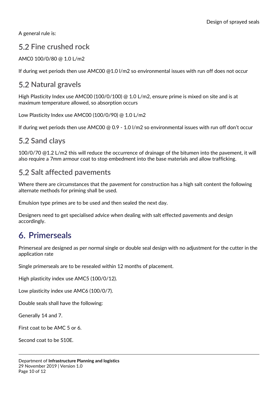A general rule is:

#### <span id="page-9-0"></span>**Fine crushed rock**

AMC0 100/0/80 @ 1.0 L/m2

<span id="page-9-1"></span>If during wet periods then use AMC00 @1.0 l/m2 so environmental issues with run off does not occur

## **5.2 Natural gravels**

High Plasticity Index use AMC00 (100/0/100) @ 1.0 L/m2, ensure prime is mixed on site and is at maximum temperature allowed, so absorption occurs

Low Plasticity Index use AMC00 (100/0/90) @ 1.0 L/m2

If during wet periods then use AMC00 @ 0.9 - 1.0 I/m2 so environmental issues with run off don't occur

## <span id="page-9-2"></span>**5.2 Sand clays**

100/0/70 @1.2 L/m2 this will reduce the occurrence of drainage of the bitumen into the pavement, it will also require a 7mm armour coat to stop embedment into the base materials and allow trafficking.

## <span id="page-9-3"></span>**5.2 Salt affected pavements**

Where there are circumstances that the pavement for construction has a high salt content the following alternate methods for priming shall be used.

Emulsion type primes are to be used and then sealed the next day.

Designers need to get specialised advice when dealing with salt effected pavements and design accordingly.

# <span id="page-9-4"></span>**Primerseals**

Primerseal are designed as per normal single or double seal design with no adjustment for the cutter in the application rate

Single primerseals are to be resealed within 12 months of placement.

High plasticity index use AMC5 (100/0/12).

Low plasticity index use AMC6 (100/0/7).

Double seals shall have the following:

Generally 14 and 7.

First coat to be AMC 5 or 6.

Second coat to be S10E.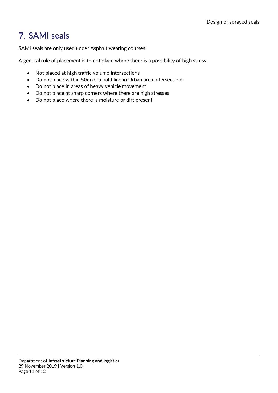# <span id="page-10-0"></span>**7. SAMI seals**

SAMI seals are only used under Asphalt wearing courses

A general rule of placement is to not place where there is a possibility of high stress

- Not placed at high traffic volume intersections
- Do not place within 50m of a hold line in Urban area intersections
- Do not place in areas of heavy vehicle movement
- Do not place at sharp corners where there are high stresses
- Do not place where there is moisture or dirt present